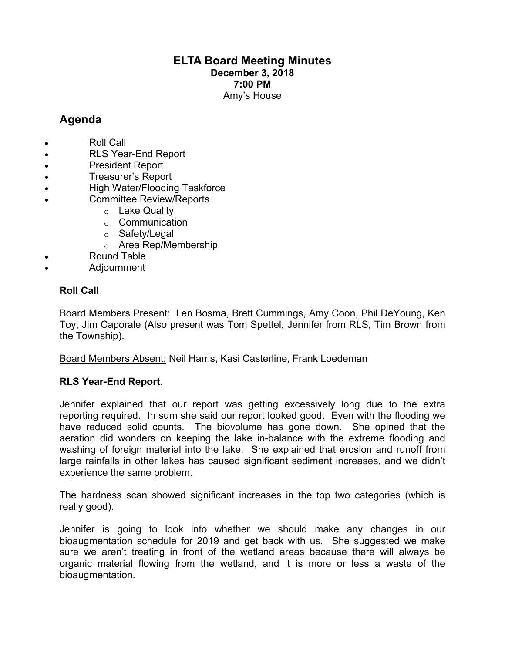## **ELTA Board Meeting Minutes December 3, 2018 7:00 PM** Amy's House

# **Agenda**

- Roll Call
- RLS Year-End Report
- President Report
- Treasurer's Report
- High Water/Flooding Taskforce
- Committee Review/Reports
	- o Lake Quality
	- o Communication
	- o Safety/Legal
	- o Area Rep/Membership
	- Round Table
- Adjournment

## **Roll Call**

Board Members Present: Len Bosma, Brett Cummings, Amy Coon, Phil DeYoung, Ken Toy, Jim Caporale (Also present was Tom Spettel, Jennifer from RLS, Tim Brown from the Township).

Board Members Absent: Neil Harris, Kasi Casterline, Frank Loedeman

## **RLS Year-End Report.**

Jennifer explained that our report was getting excessively long due to the extra reporting required. In sum she said our report looked good. Even with the flooding we have reduced solid counts. The biovolume has gone down. She opined that the aeration did wonders on keeping the lake in-balance with the extreme flooding and washing of foreign material into the lake. She explained that erosion and runoff from large rainfalls in other lakes has caused significant sediment increases, and we didn't experience the same problem.

The hardness scan showed significant increases in the top two categories (which is really good).

Jennifer is going to look into whether we should make any changes in our bioaugmentation schedule for 2019 and get back with us. She suggested we make sure we aren't treating in front of the wetland areas because there will always be organic material flowing from the wetland, and it is more or less a waste of the bioaugmentation.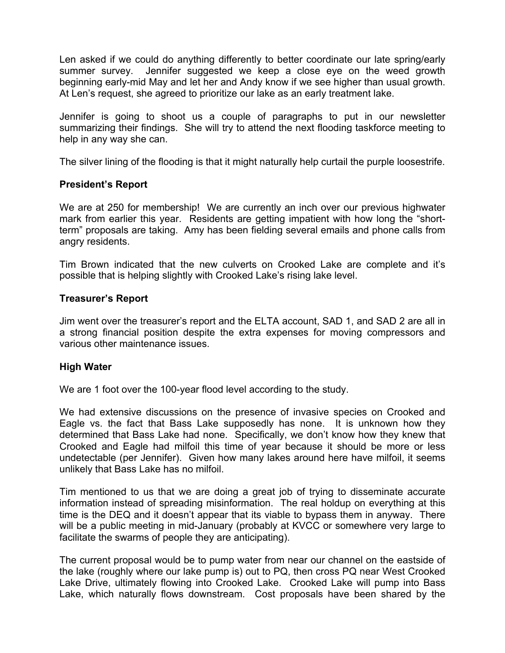Len asked if we could do anything differently to better coordinate our late spring/early summer survey. Jennifer suggested we keep a close eye on the weed growth beginning early-mid May and let her and Andy know if we see higher than usual growth. At Len's request, she agreed to prioritize our lake as an early treatment lake.

Jennifer is going to shoot us a couple of paragraphs to put in our newsletter summarizing their findings. She will try to attend the next flooding taskforce meeting to help in any way she can.

The silver lining of the flooding is that it might naturally help curtail the purple loosestrife.

## **President's Report**

We are at 250 for membership! We are currently an inch over our previous highwater mark from earlier this year. Residents are getting impatient with how long the "shortterm" proposals are taking. Amy has been fielding several emails and phone calls from angry residents.

Tim Brown indicated that the new culverts on Crooked Lake are complete and it's possible that is helping slightly with Crooked Lake's rising lake level.

## **Treasurer's Report**

Jim went over the treasurer's report and the ELTA account, SAD 1, and SAD 2 are all in a strong financial position despite the extra expenses for moving compressors and various other maintenance issues.

### **High Water**

We are 1 foot over the 100-year flood level according to the study.

We had extensive discussions on the presence of invasive species on Crooked and Eagle vs. the fact that Bass Lake supposedly has none. It is unknown how they determined that Bass Lake had none. Specifically, we don't know how they knew that Crooked and Eagle had milfoil this time of year because it should be more or less undetectable (per Jennifer). Given how many lakes around here have milfoil, it seems unlikely that Bass Lake has no milfoil.

Tim mentioned to us that we are doing a great job of trying to disseminate accurate information instead of spreading misinformation. The real holdup on everything at this time is the DEQ and it doesn't appear that its viable to bypass them in anyway. There will be a public meeting in mid-January (probably at KVCC or somewhere very large to facilitate the swarms of people they are anticipating).

The current proposal would be to pump water from near our channel on the eastside of the lake (roughly where our lake pump is) out to PQ, then cross PQ near West Crooked Lake Drive, ultimately flowing into Crooked Lake. Crooked Lake will pump into Bass Lake, which naturally flows downstream. Cost proposals have been shared by the